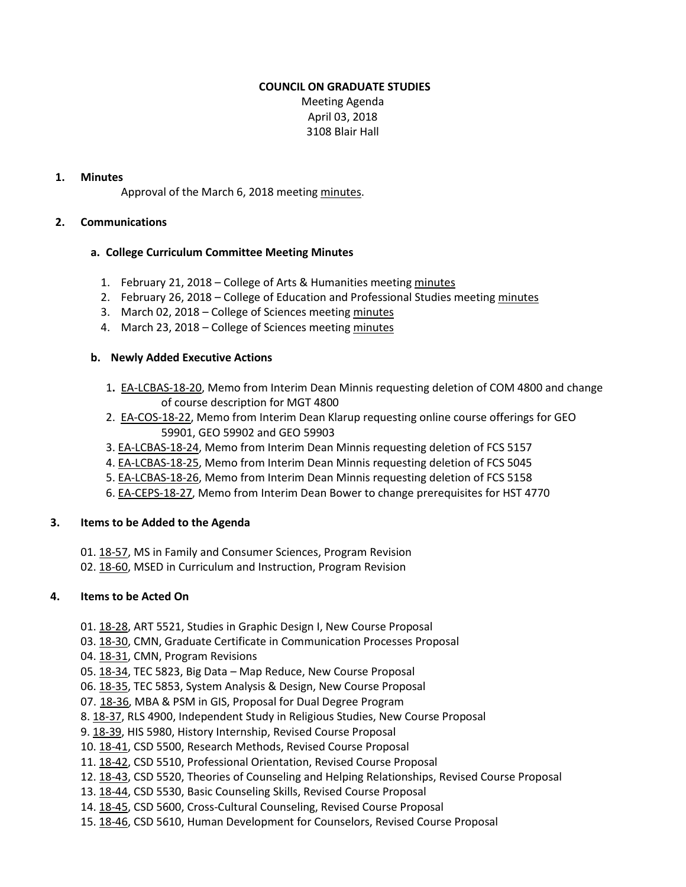# **COUNCIL ON GRADUATE STUDIES**

Meeting Agenda April 03, 2018 3108 Blair Hall

#### **1. Minutes**

Approval of the March 6, 2018 meeting [minutes.](http://castle.eiu.edu/eiucgs/currentminutes/Minutes3-6-18.pdf)

#### **2. Communications**

#### **a. College Curriculum Committee Meeting Minutes**

- 1. February 21, 2018 College of Arts & Humanities meeting [minutes](http://www.eiu.edu/AHColleg/cahcc_files/2018/CAHCC_Minutes_2_21_18.pdf)
- 2. February 26, 2018 College of Education and Professional Studies meetin[g minutes](http://www.eiu.edu/cepscurriculum/ay20172018/supportdocs/feb/feb26/ceps_curr_minutes_02262018.pdf)
- 3. March 02, 2018 College of Sciences meeting [minutes](https://www.eiu.edu/colsci/coscc/minutes_17/COSCC_Minutes_3_2_18.pdf)
- 4. March 23, 2018 College of Sciences meeting [minutes](https://www.eiu.edu/colsci/coscc/minutes_17/COSCC_Minutes_3_23_18.pdf)

# **b. Newly Added Executive Actions**

- 1**.** [EA-LCBAS-18-20,](http://castle.eiu.edu/~eiucgs/exec-actions/EA-LCBAS-18-20.pdf) Memo from Interim Dean Minnis requesting deletion of COM 4800 and change of course description for MGT 4800
- 2. [EA-COS-18-22,](http://castle.eiu.edu/~eiucgs/exec-actions/EA-COS-18-22.pdf) Memo from Interim Dean Klarup requesting online course offerings for GEO 59901, GEO 59902 and GEO 59903
- 3. [EA-LCBAS-18-24](http://castle.eiu.edu/~eiucgs/exec-actions/EA-LCBAS-18-24.pdf), Memo from Interim Dean Minnis requesting deletion of FCS 5157
- 4[. EA-LCBAS-18-25](http://castle.eiu.edu/~eiucgs/exec-actions/EA-LCBAS-18-25.pdf), Memo from Interim Dean Minnis requesting deletion of FCS 5045
- 5. [EA-LCBAS-18-26,](http://castle.eiu.edu/~eiucgs/exec-actions/EA-LCBAS-18-26.pdf) Memo from Interim Dean Minnis requesting deletion of FCS 5158
- 6. [EA-CEPS-18-27,](http://castle.eiu.edu/~eiucgs/exec-actions/EA-CEPS-18-27.pdf) Memo from Interim Dean Bower to change prerequisites for HST 4770

#### **3. Items to be Added to the Agenda**

- 01[. 18-57,](http://castle.eiu.edu/eiucgs/currentagendaitems/agenda18-57.pdf) MS in Family and Consumer Sciences, Program Revision
- 02. [18-60,](http://castle.eiu.edu/eiucgs/currentagendaitems/agenda18-60.pdf) MSED in Curriculum and Instruction, Program Revision

# **4. Items to be Acted On**

- 01[. 18-28,](http://castle.eiu.edu/eiucgs/currentagendaitems/agenda18-28.pdf) ART 5521, Studies in Graphic Design I, New Course Proposal
- 03[. 18-30,](http://castle.eiu.edu/eiucgs/currentagendaitems/agenda18-30.pdf) CMN, Graduate Certificate in Communication Processes Proposal
- 04[. 18-31,](http://castle.eiu.edu/eiucgs/currentagendaitems/agenda18-31.pdf) CMN, Program Revisions
- 05[. 18-34,](http://castle.eiu.edu/eiucgs/currentagendaitems/agenda18-34.pdf) TEC 5823, Big Data Map Reduce, New Course Proposal
- 06[. 18-35,](http://castle.eiu.edu/eiucgs/currentagendaitems/agenda18-35.pdf) TEC 5853, System Analysis & Design, New Course Proposal
- 07. [18-36,](http://castle.eiu.edu/eiucgs/currentagendaitems/agenda18-36.pdf) MBA & PSM in GIS, Proposal for Dual Degree Program
- 8. [18-37,](http://castle.eiu.edu/eiucgs/currentagendaitems/agenda18-37.pdf) RLS 4900, Independent Study in Religious Studies, New Course Proposal
- 9. [18-39,](http://castle.eiu.edu/eiucgs/currentagendaitems/agenda18-39.pdf) HIS 5980, History Internship, Revised Course Proposal
- 10[. 18-41,](http://castle.eiu.edu/eiucgs/currentagendaitems/agenda18-41.pdf) CSD 5500, Research Methods, Revised Course Proposal
- 11[. 18-42,](http://castle.eiu.edu/eiucgs/currentagendaitems/agenda18-42.pdf) CSD 5510, Professional Orientation, Revised Course Proposal
- 12[. 18-43,](http://castle.eiu.edu/eiucgs/currentagendaitems/agenda18-43.pdf) CSD 5520, Theories of Counseling and Helping Relationships, Revised Course Proposal
- 13[. 18-44,](http://castle.eiu.edu/eiucgs/currentagendaitems/agenda18-44.pdf) CSD 5530, Basic Counseling Skills, Revised Course Proposal
- 14[. 18-45,](http://castle.eiu.edu/eiucgs/currentagendaitems/agenda18-45.pdf) CSD 5600, Cross-Cultural Counseling, Revised Course Proposal
- 15[. 18-46,](http://castle.eiu.edu/eiucgs/currentagendaitems/agenda18-46.pdf) CSD 5610, Human Development for Counselors, Revised Course Proposal